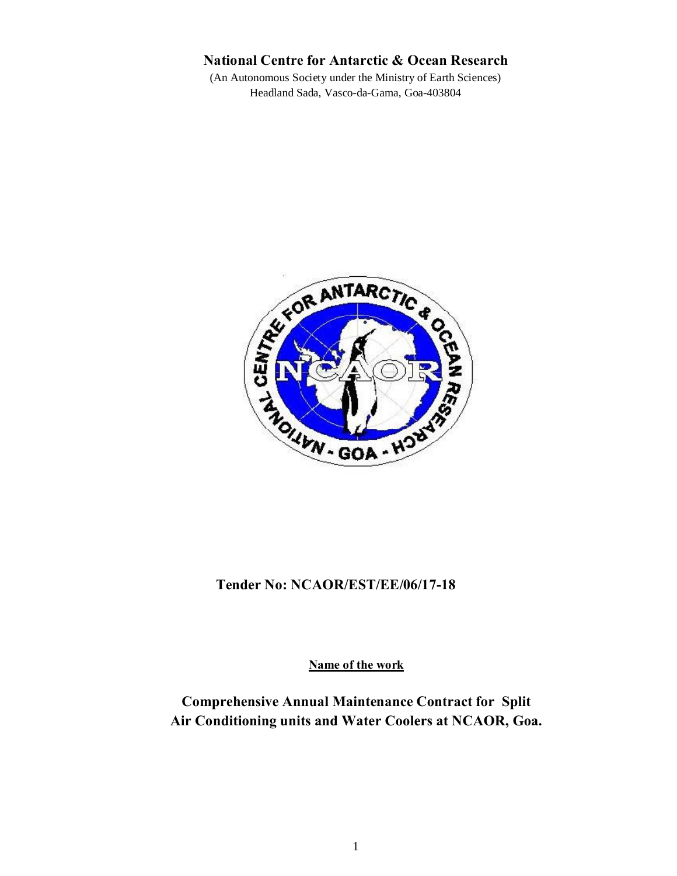# **National Centre for Antarctic & Ocean Research**

(An Autonomous Society under the Ministry of Earth Sciences) Headland Sada, Vasco-da-Gama, Goa-403804



# **Tender No: NCAOR/EST/EE/06/17-18**

**Name of the work**

**Comprehensive Annual Maintenance Contract for Split Air Conditioning units and Water Coolers at NCAOR, Goa.**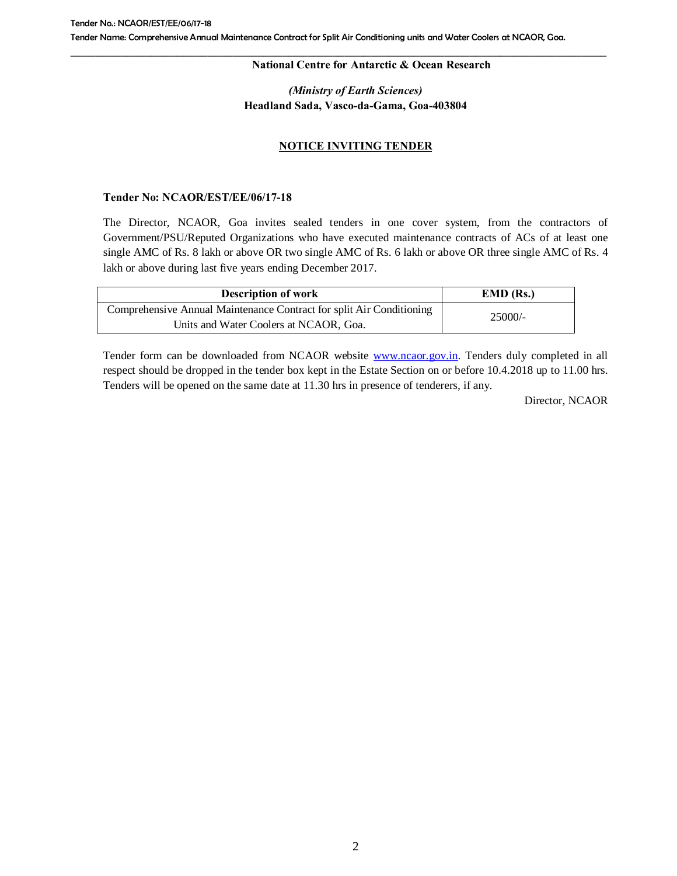#### **National Centre for Antarctic & Ocean Research**

# *(Ministry of Earth Sciences)* **Headland Sada, Vasco-da-Gama, Goa-403804**

# **NOTICE INVITING TENDER**

### **Tender No: NCAOR/EST/EE/06/17-18**

The Director, NCAOR, Goa invites sealed tenders in one cover system, from the contractors of Government/PSU/Reputed Organizations who have executed maintenance contracts of ACs of at least one single AMC of Rs. 8 lakh or above OR two single AMC of Rs. 6 lakh or above OR three single AMC of Rs. 4 lakh or above during last five years ending December 2017.

| <b>Description of work</b>                                           | $EMD$ (Rs.) |  |
|----------------------------------------------------------------------|-------------|--|
| Comprehensive Annual Maintenance Contract for split Air Conditioning | $25000/-$   |  |
| Units and Water Coolers at NCAOR, Goa.                               |             |  |

Tender form can be downloaded from NCAOR website **www.ncaor.gov.in**. Tenders duly completed in all respect should be dropped in the tender box kept in the E[state Section on or b](http://www.ncaor.gov.in/)efore 10.4.2018 up to 11.00 hrs. Tenders will be opened on the same date at 11.30 hrs in presence of tenderers, if any.

Director, NCAOR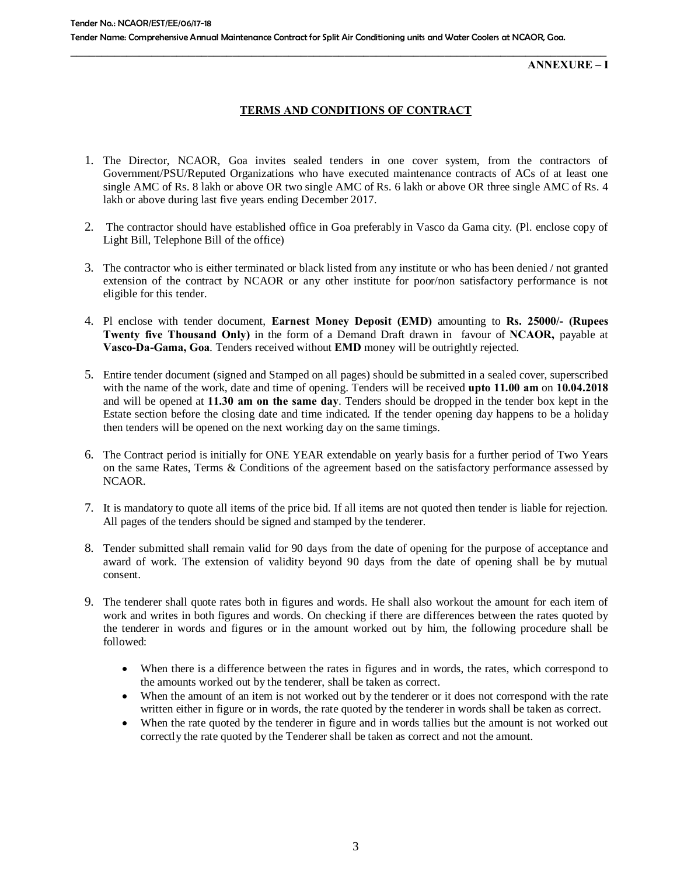**ANNEXURE – I**

## **TERMS AND CONDITIONS OF CONTRACT**

- 1. The Director, NCAOR, Goa invites sealed tenders in one cover system, from the contractors of Government/PSU/Reputed Organizations who have executed maintenance contracts of ACs of at least one single AMC of Rs. 8 lakh or above OR two single AMC of Rs. 6 lakh or above OR three single AMC of Rs. 4 lakh or above during last five years ending December 2017.
- 2. The contractor should have established office in Goa preferably in Vasco da Gama city. (Pl. enclose copy of Light Bill, Telephone Bill of the office)
- 3. The contractor who is either terminated or black listed from any institute or who has been denied / not granted extension of the contract by NCAOR or any other institute for poor/non satisfactory performance is not eligible for this tender.
- 4. Pl enclose with tender document, **Earnest Money Deposit (EMD)** amounting to **Rs. 25000/- (Rupees Twenty five Thousand Only)** in the form of a Demand Draft drawn in favour of **NCAOR,** payable at **Vasco-Da-Gama, Goa**. Tenders received without **EMD** money will be outrightly rejected.
- 5. Entire tender document (signed and Stamped on all pages) should be submitted in a sealed cover, superscribed with the name of the work, date and time of opening. Tenders will be received **upto 11.00 am** on **10.04.2018**  and will be opened at **11.30 am on the same day**. Tenders should be dropped in the tender box kept in the Estate section before the closing date and time indicated. If the tender opening day happens to be a holiday then tenders will be opened on the next working day on the same timings.
- 6. The Contract period is initially for ONE YEAR extendable on yearly basis for a further period of Two Years on the same Rates, Terms & Conditions of the agreement based on the satisfactory performance assessed by NCAOR.
- 7. It is mandatory to quote all items of the price bid. If all items are not quoted then tender is liable for rejection. All pages of the tenders should be signed and stamped by the tenderer.
- 8. Tender submitted shall remain valid for 90 days from the date of opening for the purpose of acceptance and award of work. The extension of validity beyond 90 days from the date of opening shall be by mutual consent.
- 9. The tenderer shall quote rates both in figures and words. He shall also workout the amount for each item of work and writes in both figures and words. On checking if there are differences between the rates quoted by the tenderer in words and figures or in the amount worked out by him, the following procedure shall be followed:
	- · When there is a difference between the rates in figures and in words, the rates, which correspond to the amounts worked out by the tenderer, shall be taken as correct.
	- · When the amount of an item is not worked out by the tenderer or it does not correspond with the rate written either in figure or in words, the rate quoted by the tenderer in words shall be taken as correct.
	- When the rate quoted by the tenderer in figure and in words tallies but the amount is not worked out correctly the rate quoted by the Tenderer shall be taken as correct and not the amount.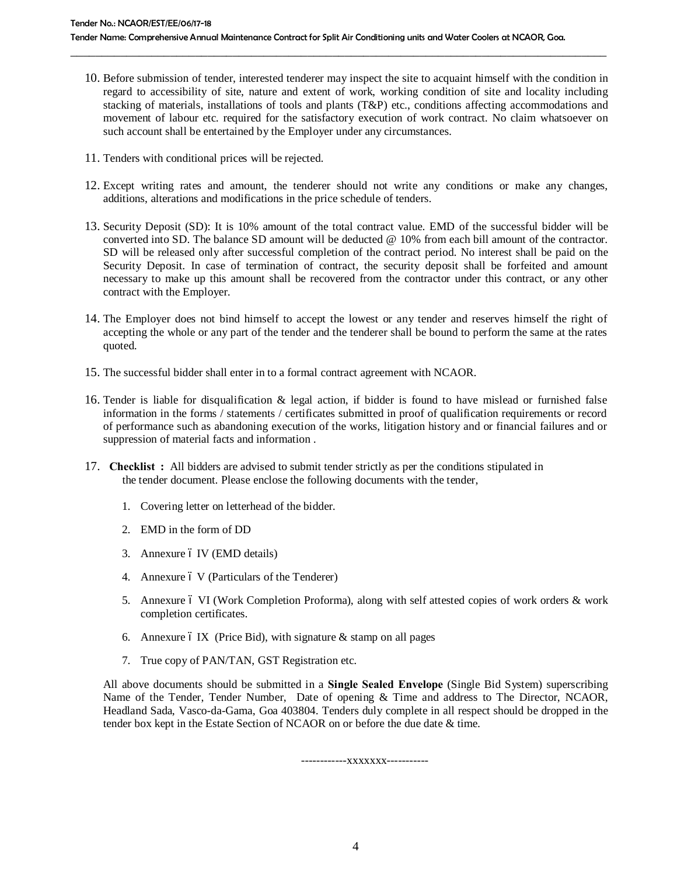10. Before submission of tender, interested tenderer may inspect the site to acquaint himself with the condition in regard to accessibility of site, nature and extent of work, working condition of site and locality including stacking of materials, installations of tools and plants (T&P) etc., conditions affecting accommodations and movement of labour etc. required for the satisfactory execution of work contract. No claim whatsoever on such account shall be entertained by the Employer under any circumstances.

\_\_\_\_\_\_\_\_\_\_\_\_\_\_\_\_\_\_\_\_\_\_\_\_\_\_\_\_\_\_\_\_\_\_\_\_\_\_\_\_\_\_\_\_\_\_\_\_\_\_\_\_\_\_\_\_\_\_\_\_\_\_\_\_\_\_\_\_\_\_\_\_\_\_\_\_\_\_\_\_\_\_\_\_\_\_

- 11. Tenders with conditional prices will be rejected.
- 12. Except writing rates and amount, the tenderer should not write any conditions or make any changes, additions, alterations and modifications in the price schedule of tenders.
- 13. Security Deposit (SD): It is 10% amount of the total contract value. EMD of the successful bidder will be converted into SD. The balance SD amount will be deducted @ 10% from each bill amount of the contractor. SD will be released only after successful completion of the contract period. No interest shall be paid on the Security Deposit. In case of termination of contract, the security deposit shall be forfeited and amount necessary to make up this amount shall be recovered from the contractor under this contract, or any other contract with the Employer.
- 14. The Employer does not bind himself to accept the lowest or any tender and reserves himself the right of accepting the whole or any part of the tender and the tenderer shall be bound to perform the same at the rates quoted.
- 15. The successful bidder shall enter in to a formal contract agreement with NCAOR.
- 16. Tender is liable for disqualification & legal action, if bidder is found to have mislead or furnished false information in the forms / statements / certificates submitted in proof of qualification requirements or record of performance such as abandoning execution of the works, litigation history and or financial failures and or suppression of material facts and information .
- 17. **Checklist :** All bidders are advised to submit tender strictly as per the conditions stipulated in the tender document. Please enclose the following documents with the tender,
	- 1. Covering letter on letterhead of the bidder.
	- 2. EMD in the form of DD
	- 3. Annexure ó IV (EMD details)
	- 4. Annexure 6 V (Particulars of the Tenderer)
	- 5. Annexure 6 VI (Work Completion Proforma), along with self attested copies of work orders & work completion certificates.
	- 6. Annexure 6 IX (Price Bid), with signature  $&$  stamp on all pages
	- 7. True copy of PAN/TAN, GST Registration etc.

All above documents should be submitted in a **Single Sealed Envelope** (Single Bid System) superscribing Name of the Tender, Tender Number, Date of opening & Time and address to The Director, NCAOR, Headland Sada, Vasco-da-Gama, Goa 403804. Tenders duly complete in all respect should be dropped in the tender box kept in the Estate Section of NCAOR on or before the due date & time.

-------------XXXXXXX------------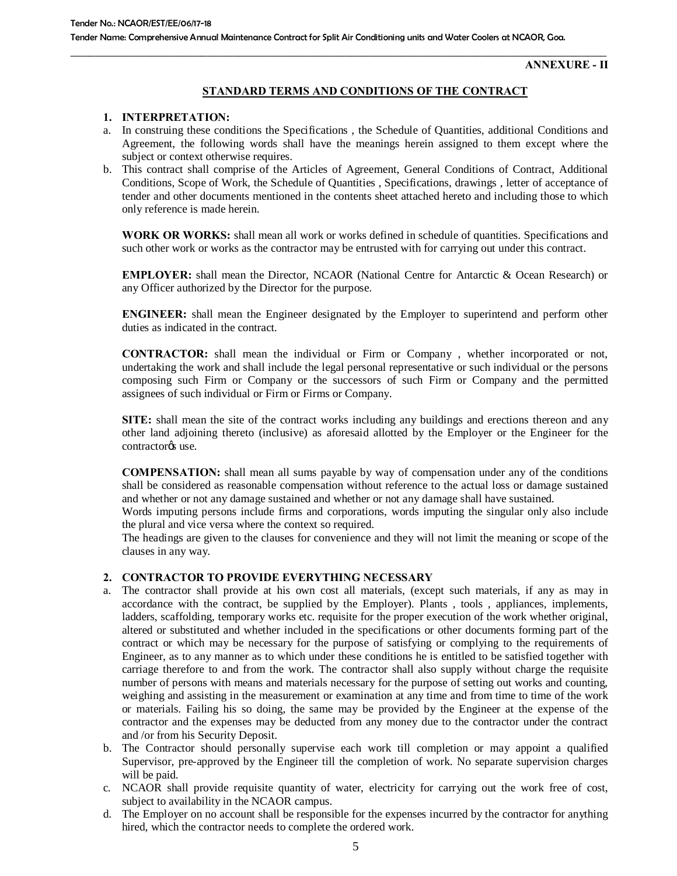**ANNEXURE - II**

## **STANDARD TERMS AND CONDITIONS OF THE CONTRACT**

### **1. INTERPRETATION:**

- a. In construing these conditions the Specifications , the Schedule of Quantities, additional Conditions and Agreement, the following words shall have the meanings herein assigned to them except where the subject or context otherwise requires.
- b. This contract shall comprise of the Articles of Agreement, General Conditions of Contract, Additional Conditions, Scope of Work, the Schedule of Quantities , Specifications, drawings , letter of acceptance of tender and other documents mentioned in the contents sheet attached hereto and including those to which only reference is made herein.

**WORK OR WORKS:** shall mean all work or works defined in schedule of quantities. Specifications and such other work or works as the contractor may be entrusted with for carrying out under this contract.

**EMPLOYER:** shall mean the Director, NCAOR (National Centre for Antarctic & Ocean Research) or any Officer authorized by the Director for the purpose.

**ENGINEER:** shall mean the Engineer designated by the Employer to superintend and perform other duties as indicated in the contract.

**CONTRACTOR:** shall mean the individual or Firm or Company , whether incorporated or not, undertaking the work and shall include the legal personal representative or such individual or the persons composing such Firm or Company or the successors of such Firm or Company and the permitted assignees of such individual or Firm or Firms or Company.

**SITE:** shall mean the site of the contract works including any buildings and erections thereon and any other land adjoining thereto (inclusive) as aforesaid allotted by the Employer or the Engineer for the contractor<sub>os</sub> use.

**COMPENSATION:** shall mean all sums payable by way of compensation under any of the conditions shall be considered as reasonable compensation without reference to the actual loss or damage sustained and whether or not any damage sustained and whether or not any damage shall have sustained.

Words imputing persons include firms and corporations, words imputing the singular only also include the plural and vice versa where the context so required.

The headings are given to the clauses for convenience and they will not limit the meaning or scope of the clauses in any way.

#### **2. CONTRACTOR TO PROVIDE EVERYTHING NECESSARY**

- a. The contractor shall provide at his own cost all materials, (except such materials, if any as may in accordance with the contract, be supplied by the Employer). Plants , tools , appliances, implements, ladders, scaffolding, temporary works etc. requisite for the proper execution of the work whether original, altered or substituted and whether included in the specifications or other documents forming part of the contract or which may be necessary for the purpose of satisfying or complying to the requirements of Engineer, as to any manner as to which under these conditions he is entitled to be satisfied together with carriage therefore to and from the work. The contractor shall also supply without charge the requisite number of persons with means and materials necessary for the purpose of setting out works and counting, weighing and assisting in the measurement or examination at any time and from time to time of the work or materials. Failing his so doing, the same may be provided by the Engineer at the expense of the contractor and the expenses may be deducted from any money due to the contractor under the contract and /or from his Security Deposit.
- b. The Contractor should personally supervise each work till completion or may appoint a qualified Supervisor, pre-approved by the Engineer till the completion of work. No separate supervision charges will be paid.
- c. NCAOR shall provide requisite quantity of water, electricity for carrying out the work free of cost, subject to availability in the NCAOR campus.
- d. The Employer on no account shall be responsible for the expenses incurred by the contractor for anything hired, which the contractor needs to complete the ordered work.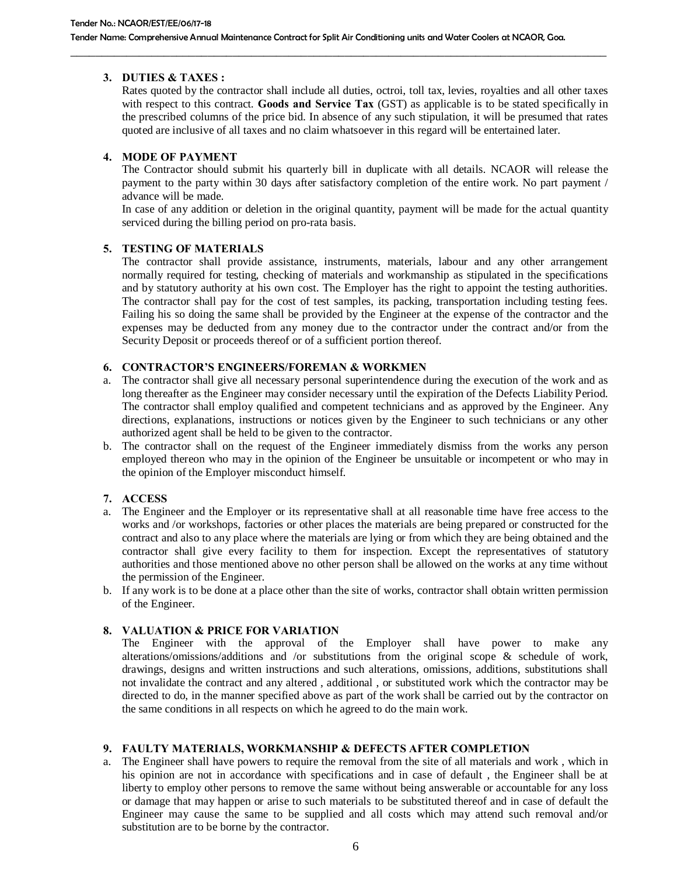## **3. DUTIES & TAXES :**

Rates quoted by the contractor shall include all duties, octroi, toll tax, levies, royalties and all other taxes with respect to this contract. **Goods and Service Tax** (GST) as applicable is to be stated specifically in the prescribed columns of the price bid. In absence of any such stipulation, it will be presumed that rates quoted are inclusive of all taxes and no claim whatsoever in this regard will be entertained later.

## **4. MODE OF PAYMENT**

The Contractor should submit his quarterly bill in duplicate with all details. NCAOR will release the payment to the party within 30 days after satisfactory completion of the entire work. No part payment / advance will be made.

In case of any addition or deletion in the original quantity, payment will be made for the actual quantity serviced during the billing period on pro-rata basis.

## **5. TESTING OF MATERIALS**

The contractor shall provide assistance, instruments, materials, labour and any other arrangement normally required for testing, checking of materials and workmanship as stipulated in the specifications and by statutory authority at his own cost. The Employer has the right to appoint the testing authorities. The contractor shall pay for the cost of test samples, its packing, transportation including testing fees. Failing his so doing the same shall be provided by the Engineer at the expense of the contractor and the expenses may be deducted from any money due to the contractor under the contract and/or from the Security Deposit or proceeds thereof or of a sufficient portion thereof.

## **6. CONTRACTOR'S ENGINEERS/FOREMAN & WORKMEN**

- a. The contractor shall give all necessary personal superintendence during the execution of the work and as long thereafter as the Engineer may consider necessary until the expiration of the Defects Liability Period. The contractor shall employ qualified and competent technicians and as approved by the Engineer. Any directions, explanations, instructions or notices given by the Engineer to such technicians or any other authorized agent shall be held to be given to the contractor.
- b. The contractor shall on the request of the Engineer immediately dismiss from the works any person employed thereon who may in the opinion of the Engineer be unsuitable or incompetent or who may in the opinion of the Employer misconduct himself.

## **7. ACCESS**

- a. The Engineer and the Employer or its representative shall at all reasonable time have free access to the works and /or workshops, factories or other places the materials are being prepared or constructed for the contract and also to any place where the materials are lying or from which they are being obtained and the contractor shall give every facility to them for inspection. Except the representatives of statutory authorities and those mentioned above no other person shall be allowed on the works at any time without the permission of the Engineer.
- b. If any work is to be done at a place other than the site of works, contractor shall obtain written permission of the Engineer.

## **8. VALUATION & PRICE FOR VARIATION**

The Engineer with the approval of the Employer shall have power to make any alterations/omissions/additions and /or substitutions from the original scope & schedule of work, drawings, designs and written instructions and such alterations, omissions, additions, substitutions shall not invalidate the contract and any altered , additional , or substituted work which the contractor may be directed to do, in the manner specified above as part of the work shall be carried out by the contractor on the same conditions in all respects on which he agreed to do the main work.

## **9. FAULTY MATERIALS, WORKMANSHIP & DEFECTS AFTER COMPLETION**

a. The Engineer shall have powers to require the removal from the site of all materials and work , which in his opinion are not in accordance with specifications and in case of default , the Engineer shall be at liberty to employ other persons to remove the same without being answerable or accountable for any loss or damage that may happen or arise to such materials to be substituted thereof and in case of default the Engineer may cause the same to be supplied and all costs which may attend such removal and/or substitution are to be borne by the contractor.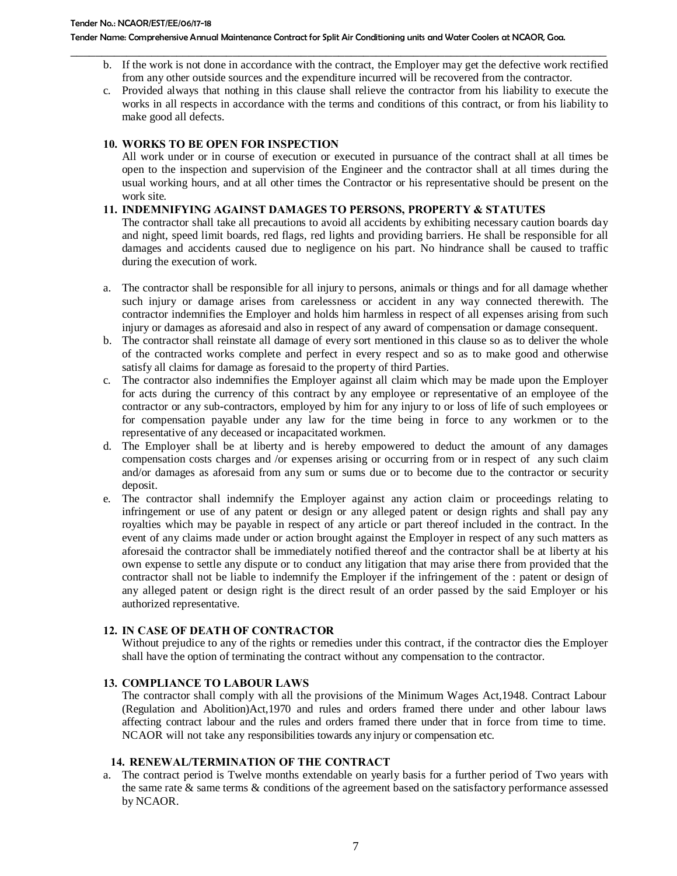b. If the work is not done in accordance with the contract, the Employer may get the defective work rectified from any other outside sources and the expenditure incurred will be recovered from the contractor.

\_\_\_\_\_\_\_\_\_\_\_\_\_\_\_\_\_\_\_\_\_\_\_\_\_\_\_\_\_\_\_\_\_\_\_\_\_\_\_\_\_\_\_\_\_\_\_\_\_\_\_\_\_\_\_\_\_\_\_\_\_\_\_\_\_\_\_\_\_\_\_\_\_\_\_\_\_\_\_\_\_\_\_\_\_\_

c. Provided always that nothing in this clause shall relieve the contractor from his liability to execute the works in all respects in accordance with the terms and conditions of this contract, or from his liability to make good all defects.

### **10. WORKS TO BE OPEN FOR INSPECTION**

All work under or in course of execution or executed in pursuance of the contract shall at all times be open to the inspection and supervision of the Engineer and the contractor shall at all times during the usual working hours, and at all other times the Contractor or his representative should be present on the work site.

## **11. INDEMNIFYING AGAINST DAMAGES TO PERSONS, PROPERTY & STATUTES**

The contractor shall take all precautions to avoid all accidents by exhibiting necessary caution boards day and night, speed limit boards, red flags, red lights and providing barriers. He shall be responsible for all damages and accidents caused due to negligence on his part. No hindrance shall be caused to traffic during the execution of work.

- a. The contractor shall be responsible for all injury to persons, animals or things and for all damage whether such injury or damage arises from carelessness or accident in any way connected therewith. The contractor indemnifies the Employer and holds him harmless in respect of all expenses arising from such injury or damages as aforesaid and also in respect of any award of compensation or damage consequent.
- b. The contractor shall reinstate all damage of every sort mentioned in this clause so as to deliver the whole of the contracted works complete and perfect in every respect and so as to make good and otherwise satisfy all claims for damage as foresaid to the property of third Parties.
- c. The contractor also indemnifies the Employer against all claim which may be made upon the Employer for acts during the currency of this contract by any employee or representative of an employee of the contractor or any sub-contractors, employed by him for any injury to or loss of life of such employees or for compensation payable under any law for the time being in force to any workmen or to the representative of any deceased or incapacitated workmen.
- d. The Employer shall be at liberty and is hereby empowered to deduct the amount of any damages compensation costs charges and /or expenses arising or occurring from or in respect of any such claim and/or damages as aforesaid from any sum or sums due or to become due to the contractor or security deposit.
- e. The contractor shall indemnify the Employer against any action claim or proceedings relating to infringement or use of any patent or design or any alleged patent or design rights and shall pay any royalties which may be payable in respect of any article or part thereof included in the contract. In the event of any claims made under or action brought against the Employer in respect of any such matters as aforesaid the contractor shall be immediately notified thereof and the contractor shall be at liberty at his own expense to settle any dispute or to conduct any litigation that may arise there from provided that the contractor shall not be liable to indemnify the Employer if the infringement of the : patent or design of any alleged patent or design right is the direct result of an order passed by the said Employer or his authorized representative.

## **12. IN CASE OF DEATH OF CONTRACTOR**

Without prejudice to any of the rights or remedies under this contract, if the contractor dies the Employer shall have the option of terminating the contract without any compensation to the contractor.

#### **13. COMPLIANCE TO LABOUR LAWS**

The contractor shall comply with all the provisions of the Minimum Wages Act,1948. Contract Labour (Regulation and Abolition)Act,1970 and rules and orders framed there under and other labour laws affecting contract labour and the rules and orders framed there under that in force from time to time. NCAOR will not take any responsibilities towards any injury or compensation etc.

#### **14. RENEWAL/TERMINATION OF THE CONTRACT**

a. The contract period is Twelve months extendable on yearly basis for a further period of Two years with the same rate & same terms & conditions of the agreement based on the satisfactory performance assessed by NCAOR.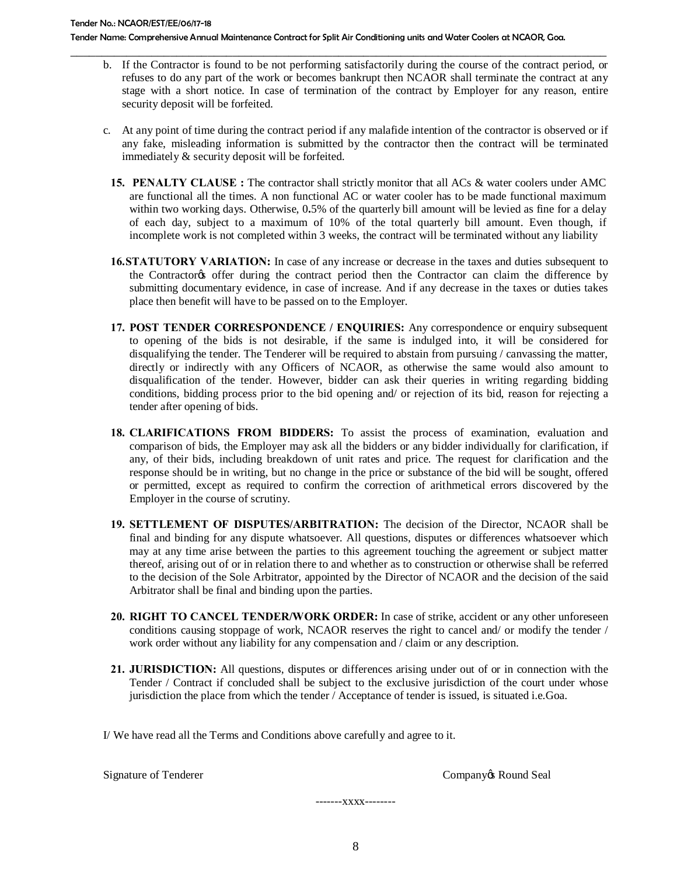b. If the Contractor is found to be not performing satisfactorily during the course of the contract period, or refuses to do any part of the work or becomes bankrupt then NCAOR shall terminate the contract at any stage with a short notice. In case of termination of the contract by Employer for any reason, entire security deposit will be forfeited.

\_\_\_\_\_\_\_\_\_\_\_\_\_\_\_\_\_\_\_\_\_\_\_\_\_\_\_\_\_\_\_\_\_\_\_\_\_\_\_\_\_\_\_\_\_\_\_\_\_\_\_\_\_\_\_\_\_\_\_\_\_\_\_\_\_\_\_\_\_\_\_\_\_\_\_\_\_\_\_\_\_\_\_\_\_\_

- c. At any point of time during the contract period if any malafide intention of the contractor is observed or if any fake, misleading information is submitted by the contractor then the contract will be terminated immediately & security deposit will be forfeited.
	- **15. PENALTY CLAUSE :** The contractor shall strictly monitor that all ACs & water coolers under AMC are functional all the times. A non functional AC or water cooler has to be made functional maximum within two working days. Otherwise, 0**.**5% of the quarterly bill amount will be levied as fine for a delay of each day, subject to a maximum of 10% of the total quarterly bill amount. Even though, if incomplete work is not completed within 3 weeks, the contract will be terminated without any liability
	- **16.STATUTORY VARIATION:** In case of any increase or decrease in the taxes and duties subsequent to the Contractor's offer during the contract period then the Contractor can claim the difference by submitting documentary evidence, in case of increase. And if any decrease in the taxes or duties takes place then benefit will have to be passed on to the Employer.
	- **17. POST TENDER CORRESPONDENCE / ENQUIRIES:** Any correspondence or enquiry subsequent to opening of the bids is not desirable, if the same is indulged into, it will be considered for disqualifying the tender. The Tenderer will be required to abstain from pursuing / canvassing the matter, directly or indirectly with any Officers of NCAOR, as otherwise the same would also amount to disqualification of the tender. However, bidder can ask their queries in writing regarding bidding conditions, bidding process prior to the bid opening and/ or rejection of its bid, reason for rejecting a tender after opening of bids.
	- **18. CLARIFICATIONS FROM BIDDERS:** To assist the process of examination, evaluation and comparison of bids, the Employer may ask all the bidders or any bidder individually for clarification, if any, of their bids, including breakdown of unit rates and price. The request for clarification and the response should be in writing, but no change in the price or substance of the bid will be sought, offered or permitted, except as required to confirm the correction of arithmetical errors discovered by the Employer in the course of scrutiny.
	- **19. SETTLEMENT OF DISPUTES/ARBITRATION:** The decision of the Director, NCAOR shall be final and binding for any dispute whatsoever. All questions, disputes or differences whatsoever which may at any time arise between the parties to this agreement touching the agreement or subject matter thereof, arising out of or in relation there to and whether as to construction or otherwise shall be referred to the decision of the Sole Arbitrator, appointed by the Director of NCAOR and the decision of the said Arbitrator shall be final and binding upon the parties.
	- **20. RIGHT TO CANCEL TENDER/WORK ORDER:** In case of strike, accident or any other unforeseen conditions causing stoppage of work, NCAOR reserves the right to cancel and/ or modify the tender / work order without any liability for any compensation and / claim or any description.
	- **21. JURISDICTION:** All questions, disputes or differences arising under out of or in connection with the Tender / Contract if concluded shall be subject to the exclusive jurisdiction of the court under whose jurisdiction the place from which the tender / Acceptance of tender is issued, is situated i.e.Goa.

I/ We have read all the Terms and Conditions above carefully and agree to it.

Signature of Tenderer **Company's Round Seal** 

-------xxxx--------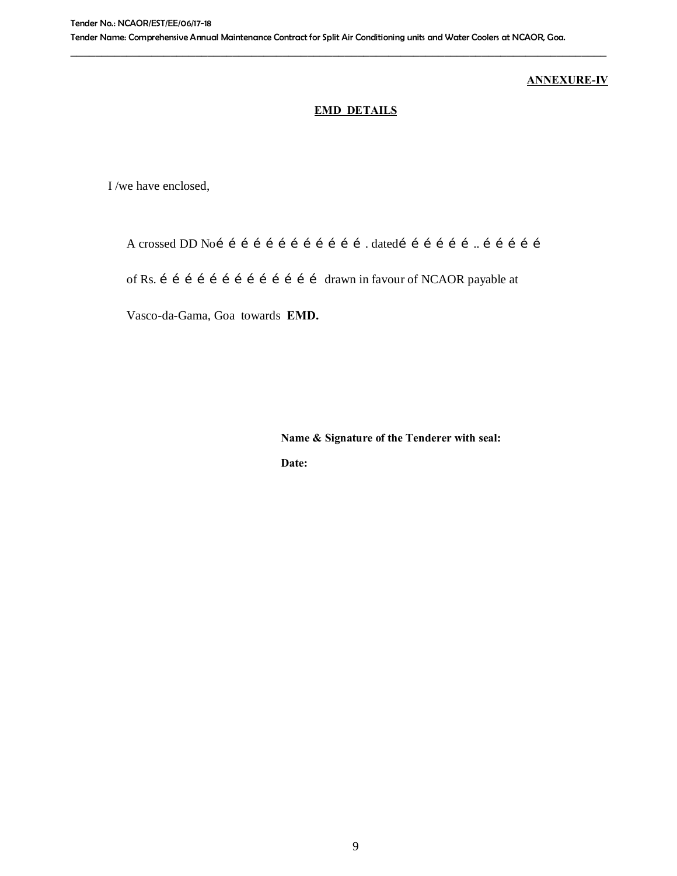# **ANNEXURE-IV**

# **EMD DETAILS**

I /we have enclosed,

A crossed DD No………………………………. dated……………….. ……………

of Rs. í í í í í í í í í í í í í í í f arawn in favour of NCAOR payable at

Vasco-da-Gama, Goa towards **EMD.**

**Name & Signature of the Tenderer with seal:**

**Date:**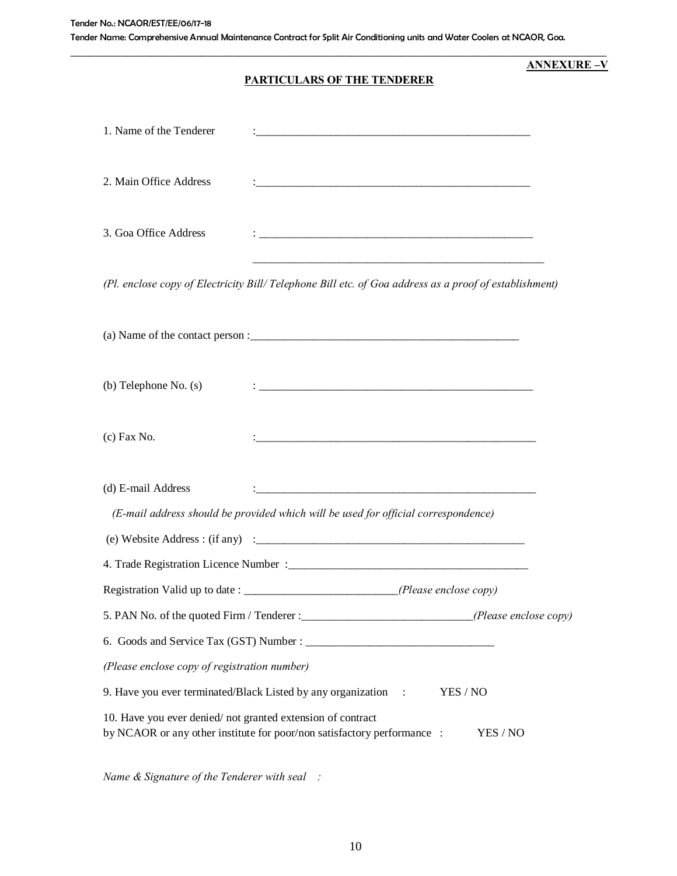# **PARTICULARS OF THE TENDERER**

\_\_\_\_\_\_\_\_\_\_\_\_\_\_\_\_\_\_\_\_\_\_\_\_\_\_\_\_\_\_\_\_\_\_\_\_\_\_\_\_\_\_\_\_\_\_\_\_\_\_\_\_\_\_\_\_\_\_\_\_\_\_\_\_\_\_\_\_\_\_\_\_\_\_\_\_\_\_\_\_\_\_\_\_\_\_

**ANNEXURE –V**

| 1. Name of the Tenderer                                                                                                                           |                                                                                    |  |  |  |
|---------------------------------------------------------------------------------------------------------------------------------------------------|------------------------------------------------------------------------------------|--|--|--|
| 2. Main Office Address                                                                                                                            |                                                                                    |  |  |  |
| 3. Goa Office Address                                                                                                                             |                                                                                    |  |  |  |
| (Pl. enclose copy of Electricity Bill/Telephone Bill etc. of Goa address as a proof of establishment)                                             |                                                                                    |  |  |  |
|                                                                                                                                                   |                                                                                    |  |  |  |
| $(b)$ Telephone No. $(s)$                                                                                                                         |                                                                                    |  |  |  |
| $(c)$ Fax No.                                                                                                                                     |                                                                                    |  |  |  |
| (d) E-mail Address                                                                                                                                | (E-mail address should be provided which will be used for official correspondence) |  |  |  |
|                                                                                                                                                   |                                                                                    |  |  |  |
|                                                                                                                                                   |                                                                                    |  |  |  |
| Registration Valid up to date :                                                                                                                   | (Please enclose copy)                                                              |  |  |  |
| 5. PAN No. of the quoted Firm / Tenderer :_________________________________(Please enclose copy)                                                  |                                                                                    |  |  |  |
|                                                                                                                                                   |                                                                                    |  |  |  |
| (Please enclose copy of registration number)                                                                                                      |                                                                                    |  |  |  |
| 9. Have you ever terminated/Black Listed by any organization :<br>YES / NO                                                                        |                                                                                    |  |  |  |
| 10. Have you ever denied/not granted extension of contract<br>by NCAOR or any other institute for poor/non satisfactory performance :<br>YES / NO |                                                                                    |  |  |  |

*Name & Signature of the Tenderer with seal :*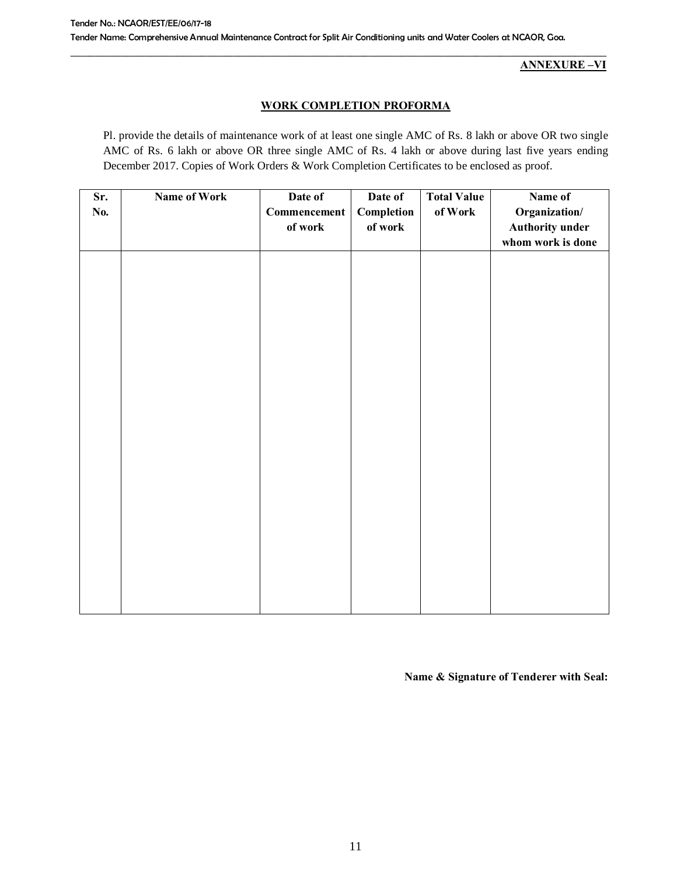**ANNEXURE –VI**

## **WORK COMPLETION PROFORMA**

Pl. provide the details of maintenance work of at least one single AMC of Rs. 8 lakh or above OR two single AMC of Rs. 6 lakh or above OR three single AMC of Rs. 4 lakh or above during last five years ending December 2017. Copies of Work Orders & Work Completion Certificates to be enclosed as proof.

| Sr.<br>No. | <b>Name of Work</b> | Date of<br>Commencement<br>of work | Date of<br>Completion<br>of work | <b>Total Value</b><br>of Work | Name of<br>Organization/<br><b>Authority under</b><br>whom work is done |
|------------|---------------------|------------------------------------|----------------------------------|-------------------------------|-------------------------------------------------------------------------|
|            |                     |                                    |                                  |                               |                                                                         |
|            |                     |                                    |                                  |                               |                                                                         |
|            |                     |                                    |                                  |                               |                                                                         |
|            |                     |                                    |                                  |                               |                                                                         |
|            |                     |                                    |                                  |                               |                                                                         |
|            |                     |                                    |                                  |                               |                                                                         |

**Name & Signature of Tenderer with Seal:**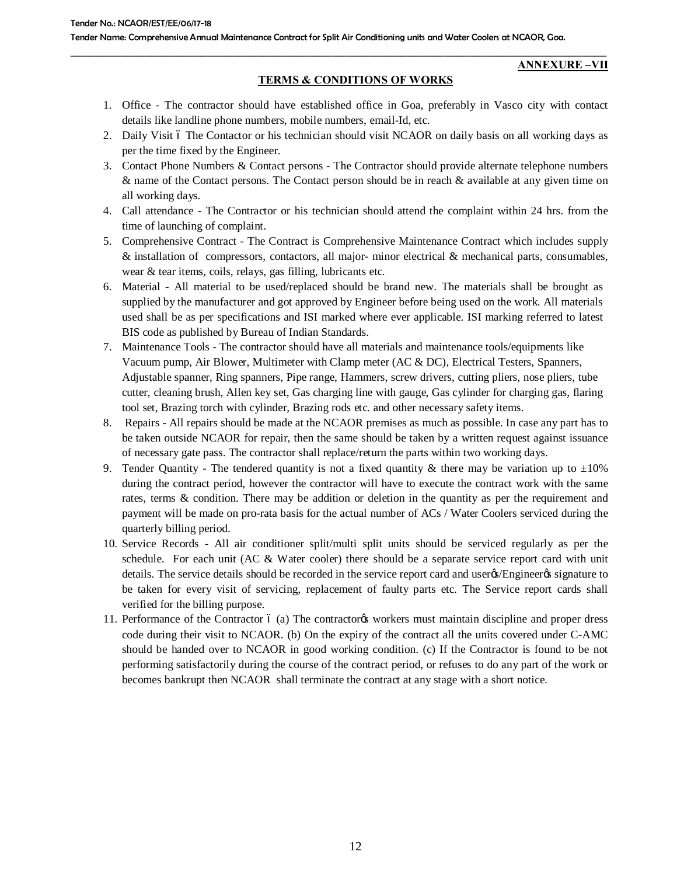#### **ANNEXURE –VII**

## **TERMS & CONDITIONS OF WORKS**

\_\_\_\_\_\_\_\_\_\_\_\_\_\_\_\_\_\_\_\_\_\_\_\_\_\_\_\_\_\_\_\_\_\_\_\_\_\_\_\_\_\_\_\_\_\_\_\_\_\_\_\_\_\_\_\_\_\_\_\_\_\_\_\_\_\_\_\_\_\_\_\_\_\_\_\_\_\_\_\_\_\_\_\_\_\_

- 1. Office The contractor should have established office in Goa, preferably in Vasco city with contact details like landline phone numbers, mobile numbers, email-Id, etc.
- 2. Daily Visit 6 The Contactor or his technician should visit NCAOR on daily basis on all working days as per the time fixed by the Engineer.
- 3. Contact Phone Numbers & Contact persons The Contractor should provide alternate telephone numbers & name of the Contact persons. The Contact person should be in reach & available at any given time on all working days.
- 4. Call attendance The Contractor or his technician should attend the complaint within 24 hrs. from the time of launching of complaint.
- 5. Comprehensive Contract The Contract is Comprehensive Maintenance Contract which includes supply & installation of compressors, contactors, all major- minor electrical & mechanical parts, consumables, wear & tear items, coils, relays, gas filling, lubricants etc.
- 6. Material All material to be used/replaced should be brand new. The materials shall be brought as supplied by the manufacturer and got approved by Engineer before being used on the work. All materials used shall be as per specifications and ISI marked where ever applicable. ISI marking referred to latest BIS code as published by Bureau of Indian Standards.
- 7. Maintenance Tools The contractor should have all materials and maintenance tools/equipments like Vacuum pump, Air Blower, Multimeter with Clamp meter (AC & DC), Electrical Testers, Spanners, Adjustable spanner, Ring spanners, Pipe range, Hammers, screw drivers, cutting pliers, nose pliers, tube cutter, cleaning brush, Allen key set, Gas charging line with gauge, Gas cylinder for charging gas, flaring tool set, Brazing torch with cylinder, Brazing rods etc. and other necessary safety items.
- 8. Repairs All repairs should be made at the NCAOR premises as much as possible. In case any part has to be taken outside NCAOR for repair, then the same should be taken by a written request against issuance of necessary gate pass. The contractor shall replace/return the parts within two working days.
- 9. Tender Quantity The tendered quantity is not a fixed quantity & there may be variation up to  $\pm 10\%$ during the contract period, however the contractor will have to execute the contract work with the same rates, terms & condition. There may be addition or deletion in the quantity as per the requirement and payment will be made on pro-rata basis for the actual number of ACs / Water Coolers serviced during the quarterly billing period.
- 10. Service Records All air conditioner split/multi split units should be serviced regularly as per the schedule. For each unit (AC  $&$  Water cooler) there should be a separate service report card with unit details. The service details should be recorded in the service report card and usergs/Engineergs signature to be taken for every visit of servicing, replacement of faulty parts etc. The Service report cards shall verified for the billing purpose.
- 11. Performance of the Contractor 6 (a) The contractor workers must maintain discipline and proper dress code during their visit to NCAOR. (b) On the expiry of the contract all the units covered under C-AMC should be handed over to NCAOR in good working condition. (c) If the Contractor is found to be not performing satisfactorily during the course of the contract period, or refuses to do any part of the work or becomes bankrupt then NCAOR shall terminate the contract at any stage with a short notice.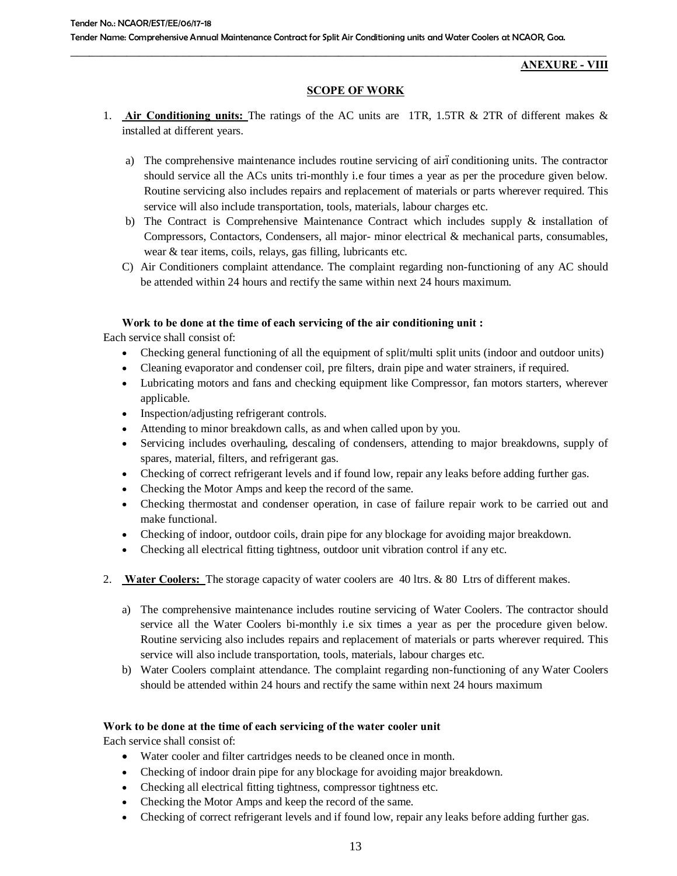#### **ANEXURE - VIII**

#### **SCOPE OF WORK**

- 1. **Air Conditioning units:** The ratings of the AC units are 1TR, 1.5TR & 2TR of different makes & installed at different years.
	- a) The comprehensive maintenance includes routine servicing of airoconditioning units. The contractor should service all the ACs units tri-monthly i.e four times a year as per the procedure given below. Routine servicing also includes repairs and replacement of materials or parts wherever required. This service will also include transportation, tools, materials, labour charges etc.
	- b) The Contract is Comprehensive Maintenance Contract which includes supply  $\&$  installation of Compressors, Contactors, Condensers, all major- minor electrical & mechanical parts, consumables, wear & tear items, coils, relays, gas filling, lubricants etc.
	- C) Air Conditioners complaint attendance. The complaint regarding non-functioning of any AC should be attended within 24 hours and rectify the same within next 24 hours maximum.

#### **Work to be done at the time of each servicing of the air conditioning unit :**

Each service shall consist of:

- · Checking general functioning of all the equipment of split/multi split units (indoor and outdoor units)
- · Cleaning evaporator and condenser coil, pre filters, drain pipe and water strainers, if required.
- · Lubricating motors and fans and checking equipment like Compressor, fan motors starters, wherever applicable.
- · Inspection/adjusting refrigerant controls.
- Attending to minor breakdown calls, as and when called upon by you.
- Servicing includes overhauling, descaling of condensers, attending to major breakdowns, supply of spares, material, filters, and refrigerant gas.
- · Checking of correct refrigerant levels and if found low, repair any leaks before adding further gas.
- Checking the Motor Amps and keep the record of the same.
- · Checking thermostat and condenser operation, in case of failure repair work to be carried out and make functional.
- · Checking of indoor, outdoor coils, drain pipe for any blockage for avoiding major breakdown.
- · Checking all electrical fitting tightness, outdoor unit vibration control if any etc.
- 2. **Water Coolers:** The storage capacity of water coolers are 40 ltrs. & 80 Ltrs of different makes.
	- a) The comprehensive maintenance includes routine servicing of Water Coolers. The contractor should service all the Water Coolers bi-monthly i.e six times a year as per the procedure given below. Routine servicing also includes repairs and replacement of materials or parts wherever required. This service will also include transportation, tools, materials, labour charges etc.
	- b) Water Coolers complaint attendance. The complaint regarding non-functioning of any Water Coolers should be attended within 24 hours and rectify the same within next 24 hours maximum

#### **Work to be done at the time of each servicing of the water cooler unit**

Each service shall consist of:

- · Water cooler and filter cartridges needs to be cleaned once in month.
- · Checking of indoor drain pipe for any blockage for avoiding major breakdown.
- · Checking all electrical fitting tightness, compressor tightness etc.
- · Checking the Motor Amps and keep the record of the same.
- · Checking of correct refrigerant levels and if found low, repair any leaks before adding further gas.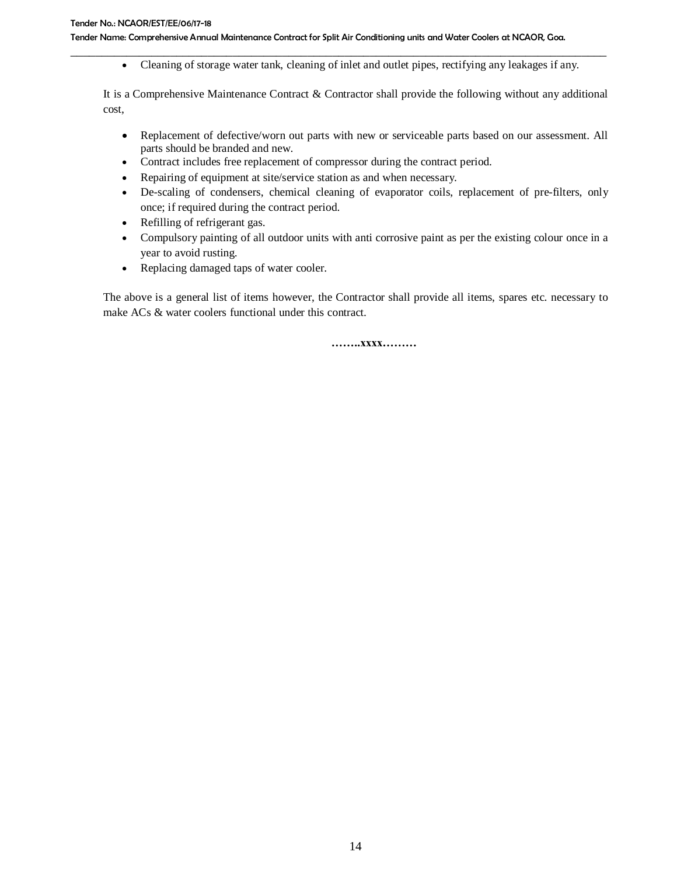· Cleaning of storage water tank, cleaning of inlet and outlet pipes, rectifying any leakages if any.

It is a Comprehensive Maintenance Contract & Contractor shall provide the following without any additional cost,

- · Replacement of defective/worn out parts with new or serviceable parts based on our assessment. All parts should be branded and new.
- · Contract includes free replacement of compressor during the contract period.
- · Repairing of equipment at site/service station as and when necessary.
- · De-scaling of condensers, chemical cleaning of evaporator coils, replacement of pre-filters, only once; if required during the contract period.
- · Refilling of refrigerant gas.
- · Compulsory painting of all outdoor units with anti corrosive paint as per the existing colour once in a year to avoid rusting.
- · Replacing damaged taps of water cooler.

The above is a general list of items however, the Contractor shall provide all items, spares etc. necessary to make ACs & water coolers functional under this contract.

**……..xxxx………**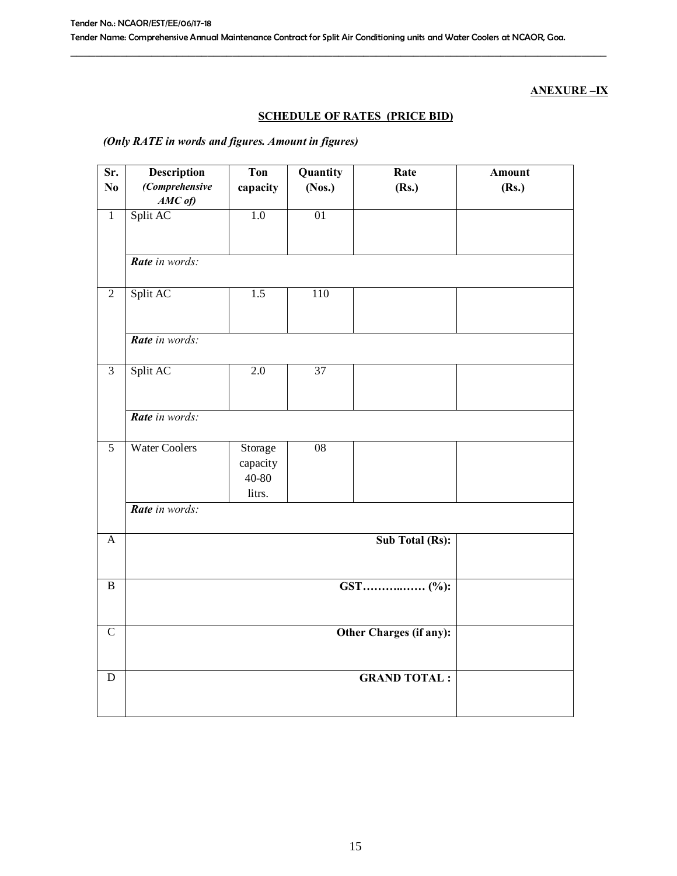# **ANEXURE –IX**

# **SCHEDULE OF RATES (PRICE BID)**

# *(Only RATE in words and figures. Amount in figures)*

| Sr.            | Description                 | <b>Ton</b>                             | Quantity        | Rate                | <b>Amount</b> |  |  |
|----------------|-----------------------------|----------------------------------------|-----------------|---------------------|---------------|--|--|
| N <sub>0</sub> | (Comprehensive<br>$AMC$ of) | capacity                               | (Nos.)          | (Rs.)               | (Rs.)         |  |  |
| $\overline{1}$ | Split AC                    | 1.0                                    | 01              |                     |               |  |  |
|                | Rate in words:              |                                        |                 |                     |               |  |  |
| $\sqrt{2}$     | Split AC                    | 1.5                                    | 110             |                     |               |  |  |
|                | Rate in words:              |                                        |                 |                     |               |  |  |
| $\overline{3}$ | Split AC                    | 2.0                                    | 37              |                     |               |  |  |
|                | Rate in words:              |                                        |                 |                     |               |  |  |
| $\overline{5}$ | <b>Water Coolers</b>        | Storage<br>capacity<br>40-80<br>litrs. | $\overline{08}$ |                     |               |  |  |
|                | Rate in words:              |                                        |                 |                     |               |  |  |
| $\mathbf{A}$   | <b>Sub Total (Rs):</b>      |                                        |                 |                     |               |  |  |
| $\overline{B}$ |                             |                                        |                 |                     |               |  |  |
| $\overline{C}$ | Other Charges (if any):     |                                        |                 |                     |               |  |  |
| ${\bf D}$      |                             |                                        |                 | <b>GRAND TOTAL:</b> |               |  |  |